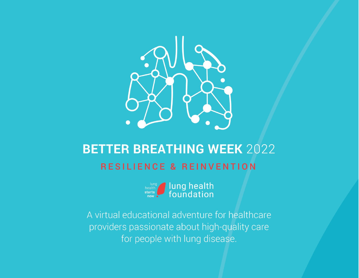

# **BETTER BREATHING WEEK 2022 RESILIENCE & REINVENTION**



A virtual educational adventure for healthcare providers passionate about high-quality care for people with lung disease.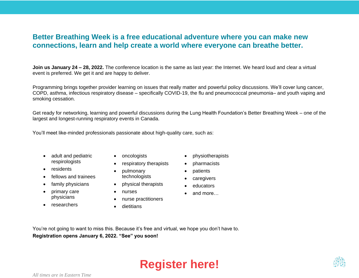#### **Better Breathing Week is a free educational adventure where you can make new connections, learn and help create a world where everyone can breathe better.**

**Join us January 24 – 28, 2022.** The conference location is the same as last year: the Internet. We heard loud and clear a virtual event is preferred. We get it and are happy to deliver.

Programming brings together provider learning on issues that really matter and powerful policy discussions. We'll cover lung cancer, COPD, asthma, infectious respiratory disease – specifically COVID-19, the flu and pneumococcal pneumonia– and youth vaping and smoking cessation.

Get ready for networking, learning and powerful discussions during the Lung Health Foundation's Better Breathing Week – one of the largest and longest-running respiratory events in Canada.

You'll meet like-minded professionals passionate about high-quality care, such as:

- adult and pediatric respirologists
- residents
- fellows and trainees
- family physicians
- primary care physicians
- researchers
- oncologists
- respiratory therapists
- pulmonary technologists
- physical therapists
- nurses
- nurse practitioners
- dietitians
- physiotherapists
- pharmacists
- patients
- caregivers
- educators
- and more…

You're not going to want to miss this. Because it's free and virtual, we hope you don't have to. **Registration opens January 6, 2022. "See" you soon!**





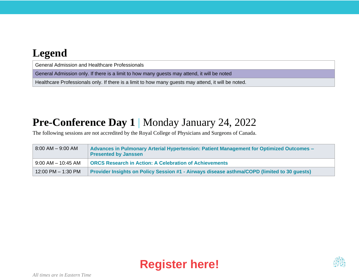#### **Legend**

General Admission and Healthcare Professionals

General Admission only. If there is a limit to how many guests may attend, it will be noted

Healthcare Professionals only. If there is a limit to how many guests may attend, it will be noted.

#### **Pre-Conference Day 1** | Monday January 24, 2022

The following sessions are not accredited by the Royal College of Physicians and Surgeons of Canada.

| $8:00$ AM $-$ 9:00 AM  | Advances in Pulmonary Arterial Hypertension: Patient Management for Optimized Outcomes -<br><b>Presented by Janssen</b> |  |
|------------------------|-------------------------------------------------------------------------------------------------------------------------|--|
| $9.00$ AM $-$ 10:45 AM | <b>ORCS Research in Action: A Celebration of Achievements</b>                                                           |  |
| 12:00 PM - 1:30 PM     | Provider Insights on Policy Session #1 - Airways disease asthma/COPD (limited to 30 quests)                             |  |



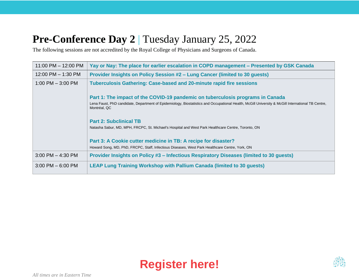### **Pre-Conference Day 2** | Tuesday January 25, 2022

The following sessions are not accredited by the Royal College of Physicians and Surgeons of Canada.

| 11:00 PM - 12:00 PM    | Yay or Nay: The place for earlier escalation in COPD management – Presented by GSK Canada                                                                         |  |
|------------------------|-------------------------------------------------------------------------------------------------------------------------------------------------------------------|--|
| $12:00$ PM $- 1:30$ PM | Provider Insights on Policy Session #2 - Lung Cancer (limited to 30 guests)                                                                                       |  |
| 1:00 PM $-$ 3:00 PM    | <b>Tuberculosis Gathering: Case-based and 20-minute rapid fire sessions</b>                                                                                       |  |
|                        | Part 1: The impact of the COVID-19 pandemic on tuberculosis programs in Canada                                                                                    |  |
|                        | Lena Faust, PhD candidate, Department of Epidemiology, Biostatistics and Occupational Health, McGill University & McGill International TB Centre,<br>Montréal, QC |  |
|                        | <b>Part 2: Subclinical TB</b>                                                                                                                                     |  |
|                        | Natasha Sabur, MD, MPH, FRCPC, St. Michael's Hospital and West Park Healthcare Centre, Toronto, ON                                                                |  |
|                        | Part 3: A Cookie cutter medicine in TB: A recipe for disaster?                                                                                                    |  |
|                        | Howard Song, MD, PhD, FRCPC, Staff, Infectious Diseases, West Park Healthcare Centre, York, ON                                                                    |  |
| $3:00$ PM $-$ 4:30 PM  | Provider Insights on Policy #3 – Infectious Respiratory Diseases (limited to 30 quests)                                                                           |  |
| $3:00$ PM $-6:00$ PM   | <b>LEAP Lung Training Workshop with Pallium Canada (limited to 30 guests)</b>                                                                                     |  |



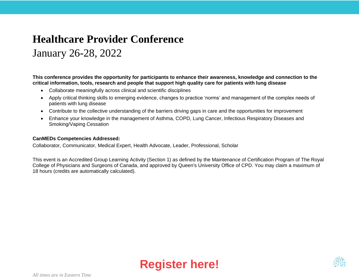### **Healthcare Provider Conference**

### January 26-28, 2022

**This conference provides the opportunity for participants to enhance their awareness, knowledge and connection to the critical information, tools, research and people that support high quality care for patients with lung disease**

- Collaborate meaningfully across clinical and scientific disciplines
- Apply critical thinking skills to emerging evidence, changes to practice 'norms' and management of the complex needs of patients with lung disease
- Contribute to the collective understanding of the barriers driving gaps in care and the opportunities for improvement
- Enhance your knowledge in the management of Asthma, COPD, Lung Cancer, Infectious Respiratory Diseases and Smoking/Vaping Cessation

#### **CanMEDs Competencies Addressed:**

Collaborator, Communicator, Medical Expert, Health Advocate, Leader, Professional, Scholar

This event is an Accredited Group Learning Activity (Section 1) as defined by the Maintenance of Certification Program of The Royal College of Physicians and Surgeons of Canada, and approved by Queen's University Office of CPD. You may claim a maximum of 18 hours (credits are automatically calculated).



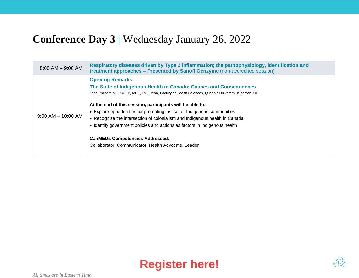#### **Conference Day 3** | Wednesday January 26, 2022

| $8:00$ AM $-$ 9:00 AM  | Respiratory diseases driven by Type 2 inflammation; the pathophysiology, identification and<br>treatment approaches - Presented by Sanofi Genzyme (non-accredited session)                                                                                                                                                                                                                                                                                                                                                                                                                                 |
|------------------------|------------------------------------------------------------------------------------------------------------------------------------------------------------------------------------------------------------------------------------------------------------------------------------------------------------------------------------------------------------------------------------------------------------------------------------------------------------------------------------------------------------------------------------------------------------------------------------------------------------|
| $9:00$ AM $-$ 10:00 AM | <b>Opening Remarks</b><br>The State of Indigenous Health in Canada: Causes and Consequences<br>Jane Philpott, MD, CCFP, MPH, PC, Dean, Faculty of Health Sciences, Queen's University, Kingston, ON<br>At the end of this session, participants will be able to:<br>• Explore opportunities for promoting justice for Indigenous communities<br>• Recognize the intersection of colonialism and Indigenous health in Canada<br>• Identify government policies and actions as factors in Indigenous health<br><b>CanMEDs Competencies Addressed:</b><br>Collaborator, Communicator, Health Advocate, Leader |



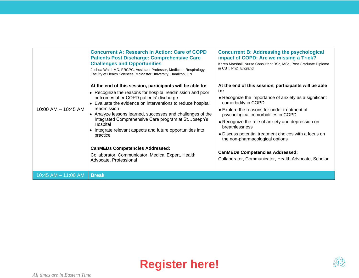|                         | <b>Concurrent A: Research in Action: Care of COPD</b><br><b>Patients Post Discharge: Comprehensive Care</b><br><b>Challenges and Opportunities</b><br>Joshua Wald, MD, FRCPC, Assistant Professor, Medicine, Respirology,<br>Faculty of Health Sciences, McMaster University, Hamilton, ON                                                                                                                                                                                                                                                                                         | <b>Concurrent B: Addressing the psychological</b><br>impact of COPD: Are we missing a Trick?<br>Karen Marshall, Nurse Consultant BSc, MSc, Post Graduate Diploma<br>in CBT, PhD, England                                                                                                                                                                                                                                                                                                                  |
|-------------------------|------------------------------------------------------------------------------------------------------------------------------------------------------------------------------------------------------------------------------------------------------------------------------------------------------------------------------------------------------------------------------------------------------------------------------------------------------------------------------------------------------------------------------------------------------------------------------------|-----------------------------------------------------------------------------------------------------------------------------------------------------------------------------------------------------------------------------------------------------------------------------------------------------------------------------------------------------------------------------------------------------------------------------------------------------------------------------------------------------------|
| 10:00 AM - 10:45 AM     | At the end of this session, participants will be able to:<br>• Recognize the reasons for hospital readmission and poor<br>outcomes after COPD patients' discharge<br>Evaluate the evidence on interventions to reduce hospital<br>readmission<br>• Analyze lessons learned, successes and challenges of the<br>Integrated Comprehensive Care program at St. Joseph's<br>Hospital<br>Integrate relevant aspects and future opportunities into<br>practice<br><b>CanMEDs Competencies Addressed:</b><br>Collaborator, Communicator, Medical Expert, Health<br>Advocate, Professional | At the end of this session, participants will be able<br>to:<br>• Recognize the importance of anxiety as a significant<br>comorbidity in COPD<br>• Explore the reasons for under treatment of<br>psychological comorbidities in COPD<br>• Recognize the role of anxiety and depression on<br>breathlessness<br>• Discuss potential treatment choices with a focus on<br>the non-pharmacological options<br><b>CanMEDs Competencies Addressed:</b><br>Collaborator, Communicator, Health Advocate, Scholar |
| $10:45$ AM $-$ 11:00 AM | <b>Break</b>                                                                                                                                                                                                                                                                                                                                                                                                                                                                                                                                                                       |                                                                                                                                                                                                                                                                                                                                                                                                                                                                                                           |



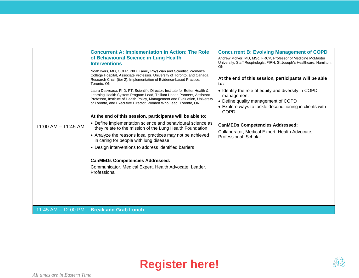| $11:00$ AM $- 11:45$ AM | <b>Concurrent A: Implementation in Action: The Role</b><br>of Behavioural Science in Lung Health<br><b>Interventions</b><br>Noah Ivers, MD, CCFP, PhD, Family Physician and Scientist, Women's<br>College Hospital, Associate Professor, University of Toronto, and Canada<br>Research Chair (tier 2), Implementation of Evidence-based Practice,<br>Toronto, ON<br>Laura Desveaux, PhD, PT, Scientific Director, Institute for Better Health &<br>Learning Health System Program Lead, Trillium Health Partners, Assistant<br>Professor, Institute of Health Policy, Management and Evaluation, University<br>of Toronto, and Executive Director, Women Who Lead, Toronto, ON<br>At the end of this session, participants will be able to:<br>• Define implementation science and behavioural science as<br>they relate to the mission of the Lung Health Foundation<br>• Analyze the reasons ideal practices may not be achieved<br>in caring for people with lung disease<br>• Design interventions to address identified barriers<br><b>CanMEDs Competencies Addressed:</b><br>Communicator, Medical Expert, Health Advocate, Leader,<br>Professional | <b>Concurrent B: Evolving Management of COPD</b><br>Andrew McIvor, MD, MSc, FRCP, Professor of Medicine McMaster<br>University; Staff Respirologist FIRH, St Joseph's Healthcare, Hamilton,<br>ON<br>At the end of this session, participants will be able<br>to:<br>• Identify the role of equity and diversity in COPD<br>management<br>• Define quality management of COPD<br>• Explore ways to tackle deconditioning in clients with<br><b>COPD</b><br><b>CanMEDs Competencies Addressed:</b><br>Collaborator, Medical Expert, Health Advocate,<br>Professional, Scholar |
|-------------------------|-----------------------------------------------------------------------------------------------------------------------------------------------------------------------------------------------------------------------------------------------------------------------------------------------------------------------------------------------------------------------------------------------------------------------------------------------------------------------------------------------------------------------------------------------------------------------------------------------------------------------------------------------------------------------------------------------------------------------------------------------------------------------------------------------------------------------------------------------------------------------------------------------------------------------------------------------------------------------------------------------------------------------------------------------------------------------------------------------------------------------------------------------------------|------------------------------------------------------------------------------------------------------------------------------------------------------------------------------------------------------------------------------------------------------------------------------------------------------------------------------------------------------------------------------------------------------------------------------------------------------------------------------------------------------------------------------------------------------------------------------|
| 11:45 AM $-$ 12:00 PM   | <b>Break and Grab Lunch</b>                                                                                                                                                                                                                                                                                                                                                                                                                                                                                                                                                                                                                                                                                                                                                                                                                                                                                                                                                                                                                                                                                                                               |                                                                                                                                                                                                                                                                                                                                                                                                                                                                                                                                                                              |



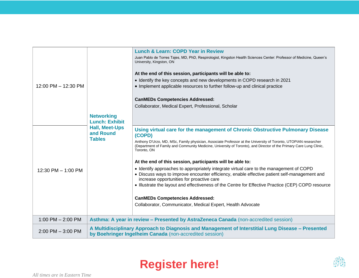| 12:00 PM - 12:30 PM  | <b>Networking</b><br><b>Lunch: Exhibit</b>                                                                                                                   | <b>Lunch &amp; Learn: COPD Year in Review</b><br>Juan Pablo de Torres Tajes, MD, PhD, Respirologist, Kingston Health Sciences Center: Professor of Medicine, Queen's<br>University, Kingston, ON<br>At the end of this session, participants will be able to:<br>• Identify the key concepts and new developments in COPD research in 2021<br>• Implement applicable resources to further follow-up and clinical practice<br><b>CanMEDs Competencies Addressed:</b><br>Collaborator, Medical Expert, Professional, Scholar                                                                                                                                                                                                                                                                                                                                            |
|----------------------|--------------------------------------------------------------------------------------------------------------------------------------------------------------|-----------------------------------------------------------------------------------------------------------------------------------------------------------------------------------------------------------------------------------------------------------------------------------------------------------------------------------------------------------------------------------------------------------------------------------------------------------------------------------------------------------------------------------------------------------------------------------------------------------------------------------------------------------------------------------------------------------------------------------------------------------------------------------------------------------------------------------------------------------------------|
| 12:30 PM $-$ 1:00 PM | <b>Hall, Meet-Ups</b><br>and Round<br><b>Tables</b>                                                                                                          | Using virtual care for the management of Chronic Obstructive Pulmonary Disease<br>(COPD)<br>Anthony D'Urzo, MD, MSc, Family physician, Associate Professor at the University of Toronto, UTOPIAN researcher<br>(Department of Family and Community Medicine, University of Toronto), and Director of the Primary Care Lung Clinic,<br>Toronto, ON<br>At the end of this session, participants will be able to:<br>• Identify approaches to appropriately integrate virtual care to the management of COPD<br>• Discuss ways to improve encounter efficiency, enable effective patient self-management and<br>increase opportunities for proactive care<br>. Illustrate the layout and effectiveness of the Centre for Effective Practice (CEP) COPD resource<br><b>CanMEDs Competencies Addressed:</b><br>Collaborator, Communicator, Medical Expert, Health Advocate |
| 1:00 PM $-$ 2:00 PM  | Asthma: A year in review - Presented by AstraZeneca Canada (non-accredited session)                                                                          |                                                                                                                                                                                                                                                                                                                                                                                                                                                                                                                                                                                                                                                                                                                                                                                                                                                                       |
| $2:00$ PM $-3:00$ PM | A Multidisciplinary Approach to Diagnosis and Management of Interstitial Lung Disease - Presented<br>by Boehringer Ingelheim Canada (non-accredited session) |                                                                                                                                                                                                                                                                                                                                                                                                                                                                                                                                                                                                                                                                                                                                                                                                                                                                       |



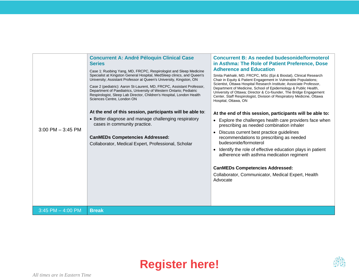| $3:00$ PM $-3:45$ PM  | <b>Concurrent A: André Péloquin Clinical Case</b><br><b>Series</b><br>Case 1: Ruobing Yang, MD, FRCPC, Respirologist and Sleep Medicine<br>Specialist at Kingston General Hospital, MedSleep clinics, and Queen's<br>University; Assistant Professor at Queen's University, Kingston, ON<br>Case 2 (pediatric): Aaron St-Laurent, MD, FRCPC, Assistant Professor,<br>Department of Paediatrics, University of Western Ontario; Pediatric<br>Respirologist, Sleep Lab Director, Children's Hospital, London Health<br>Sciences Centre, London ON<br>At the end of this session, participants will be able to:<br>• Better diagnose and manage challenging respiratory<br>cases in community practice.<br><b>CanMEDs Competencies Addressed:</b><br>Collaborator, Medical Expert, Professional, Scholar | <b>Concurrent B: As needed budesonide/formoterol</b><br>in Asthma: The Role of Patient Preference, Dose<br><b>Adherence and Education</b><br>Smita Pakhalé, MD, FRCPC, MSc (Epi & Biostat), Clinical Research<br>Chair in Equity & Patient Engagement in Vulnerable Populations;<br>Scientist, Ottawa Hospital Research Institute; Associate Professor,<br>Department of Medicine, School of Epidemiology & Public Health,<br>University of Ottawa; Director & Co-founder, The Bridge Engagement<br>Center, Staff Respirologist, Division of Respiratory Medicine, Ottawa<br>Hospital, Ottawa, ON<br>At the end of this session, participants will be able to:<br>• Explore the challenges health care providers face when<br>prescribing as needed combination inhaler<br>Discuss current best practice guidelines<br>recommendations to prescribing as needed<br>budesonide/formoterol<br>• Identify the role of effective education plays in patient<br>adherence with asthma medication regiment<br><b>CanMEDs Competencies Addressed:</b><br>Collaborator, Communicator, Medical Expert, Health<br>Advocate |
|-----------------------|-------------------------------------------------------------------------------------------------------------------------------------------------------------------------------------------------------------------------------------------------------------------------------------------------------------------------------------------------------------------------------------------------------------------------------------------------------------------------------------------------------------------------------------------------------------------------------------------------------------------------------------------------------------------------------------------------------------------------------------------------------------------------------------------------------|------------------------------------------------------------------------------------------------------------------------------------------------------------------------------------------------------------------------------------------------------------------------------------------------------------------------------------------------------------------------------------------------------------------------------------------------------------------------------------------------------------------------------------------------------------------------------------------------------------------------------------------------------------------------------------------------------------------------------------------------------------------------------------------------------------------------------------------------------------------------------------------------------------------------------------------------------------------------------------------------------------------------------------------------------------------------------------------------------------------|
| $3:45$ PM $-$ 4:00 PM | <b>Break</b>                                                                                                                                                                                                                                                                                                                                                                                                                                                                                                                                                                                                                                                                                                                                                                                          |                                                                                                                                                                                                                                                                                                                                                                                                                                                                                                                                                                                                                                                                                                                                                                                                                                                                                                                                                                                                                                                                                                                  |



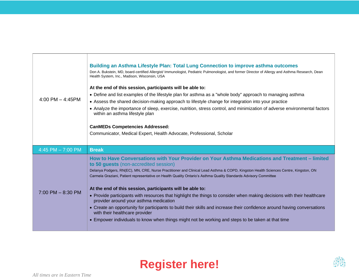| 4:00 PM $-$ 4:45PM    | <b>Building an Asthma Lifestyle Plan: Total Lung Connection to improve asthma outcomes</b><br>Don A. Bukstein, MD, board-certified Allergist/ Immunologist, Pediatric Pulmonologist, and former Director of Allergy and Asthma Research, Dean<br>Health System, Inc., Madison, Wisconsin, USA<br>At the end of this session, participants will be able to:<br>• Define and list examples of the lifestyle plan for asthma as a "whole body" approach to managing asthma<br>• Assess the shared decision-making approach to lifestyle change for integration into your practice<br>• Analyze the importance of sleep, exercise, nutrition, stress control, and minimization of adverse environmental factors<br>within an asthma lifestyle plan<br><b>CanMEDs Competencies Addressed:</b><br>Communicator, Medical Expert, Health Advocate, Professional, Scholar                                         |  |  |
|-----------------------|----------------------------------------------------------------------------------------------------------------------------------------------------------------------------------------------------------------------------------------------------------------------------------------------------------------------------------------------------------------------------------------------------------------------------------------------------------------------------------------------------------------------------------------------------------------------------------------------------------------------------------------------------------------------------------------------------------------------------------------------------------------------------------------------------------------------------------------------------------------------------------------------------------|--|--|
| 4:45 PM $- 7:00$ PM   | <b>Break</b>                                                                                                                                                                                                                                                                                                                                                                                                                                                                                                                                                                                                                                                                                                                                                                                                                                                                                             |  |  |
| $7:00$ PM $-$ 8:30 PM | How to Have Conversations with Your Provider on Your Asthma Medications and Treatment - limited<br>to 50 guests (non-accredited session)<br>Delanya Podgers, RN(EC), MN, CRE, Nurse Practitioner and Clinical Lead Asthma & COPD, Kingston Health Sciences Centre, Kingston, ON<br>Carmela Graziani, Patient representative on Health Quality Ontario's Asthma Quality Standards Advisory Committee<br>At the end of this session, participants will be able to:<br>• Provide participants with resources that highlight the things to consider when making decisions with their healthcare<br>provider around your asthma medication<br>• Create an opportunity for participants to build their skills and increase their confidence around having conversations<br>with their healthcare provider<br>• Empower individuals to know when things might not be working and steps to be taken at that time |  |  |



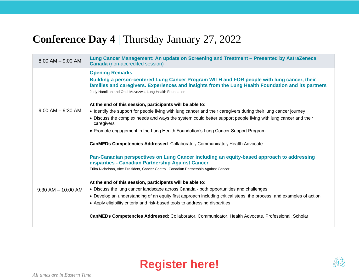#### **Conference Day 4** | Thursday January 27, 2022

| $8:00$ AM $-$ 9:00 AM  | Lung Cancer Management: An update on Screening and Treatment - Presented by AstraZeneca<br><b>Canada</b> (non-accredited session)                                                                                                                          |  |  |
|------------------------|------------------------------------------------------------------------------------------------------------------------------------------------------------------------------------------------------------------------------------------------------------|--|--|
|                        | <b>Opening Remarks</b>                                                                                                                                                                                                                                     |  |  |
|                        | Building a person-centered Lung Cancer Program WITH and FOR people with lung cancer, their<br>families and caregivers. Experiences and insights from the Lung Health Foundation and its partners<br>Jody Hamilton and Onai Muvezwa, Lung Health Foundation |  |  |
|                        | At the end of this session, participants will be able to:                                                                                                                                                                                                  |  |  |
| $9:00$ AM $-$ 9:30 AM  | • Identify the support for people living with lung cancer and their caregivers during their lung cancer journey                                                                                                                                            |  |  |
|                        | • Discuss the complex needs and ways the system could better support people living with lung cancer and their<br>caregivers                                                                                                                                |  |  |
|                        | • Promote engagement in the Lung Health Foundation's Lung Cancer Support Program                                                                                                                                                                           |  |  |
|                        | <b>CanMEDs Competencies Addressed: Collaborator, Communicator, Health Advocate</b>                                                                                                                                                                         |  |  |
|                        | Pan-Canadian perspectives on Lung Cancer including an equity-based approach to addressing<br>disparities - Canadian Partnership Against Cancer                                                                                                             |  |  |
|                        | Erika Nicholson, Vice President, Cancer Control, Canadian Partnership Against Cancer                                                                                                                                                                       |  |  |
|                        | At the end of this session, participants will be able to:                                                                                                                                                                                                  |  |  |
| $9:30$ AM $-$ 10:00 AM | • Discuss the lung cancer landscape across Canada - both opportunities and challenges                                                                                                                                                                      |  |  |
|                        | • Develop an understanding of an equity first approach including critical steps, the process, and examples of action                                                                                                                                       |  |  |
|                        | • Apply eligibility criteria and risk-based tools to addressing disparities                                                                                                                                                                                |  |  |
|                        | CanMEDs Competencies Addressed: Collaborator, Communicator, Health Advocate, Professional, Scholar                                                                                                                                                         |  |  |



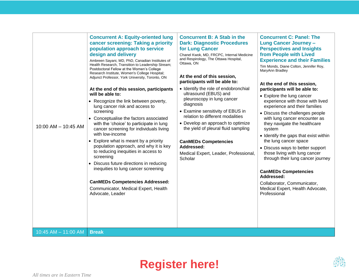| 10:00 AM - 10:45 AM     | <b>Concurrent A: Equity-oriented lung</b><br>cancer screening: Taking a priority<br>population approach to service<br>design and delivery<br>Ambreen Sayani, MD, PhD, Canadian Institutes of<br>Health Research, Transition to Leadership Stream;<br>Postdoctoral Fellow at the Women's College<br>Research Institute, Women's College Hospital;<br>Adjunct Professor, York University, Toronto, ON<br>At the end of this session, participants<br>will be able to:<br>• Recognize the link between poverty,<br>lung cancer risk and access to<br>screening<br>• Conceptualise the factors associated<br>with the 'choice' to participate in lung<br>cancer screening for individuals living<br>with low-income<br>• Explore what is meant by a priority<br>population approach, and why it is key<br>to reducing inequities in access to<br>screening<br>• Discuss future directions in reducing<br>inequities to lung cancer screening<br><b>CanMEDs Competencies Addressed:</b><br>Communicator, Medical Expert, Health<br>Advocate, Leader | <b>Concurrent B: A Stab in the</b><br><b>Dark: Diagnostic Procedures</b><br>for Lung Cancer<br>Chanel Kwok, MD, FRCPC, Internal Medicine<br>and Respirology, The Ottawa Hospital,<br>Ottawa, ON<br>At the end of this session,<br>participants will be able to:<br>• Identify the role of endobronchial<br>ultrasound (EBUS) and<br>pleuroscopy in lung cancer<br>diagnosis<br>• Examine sensitivity of EBUS in<br>relation to different modalities<br>• Develop an approach to optimize<br>the yield of pleural fluid sampling<br><b>CanMEDs Competencies</b><br>Addressed:<br>Medical Expert, Leader, Professional,<br>Scholar | <b>Concurrent C: Panel: The</b><br><b>Lung Cancer Journey -</b><br><b>Perspectives and Insights</b><br>from People with Lived<br><b>Experience and their Families</b><br>Tim Monds, Diane Colton, Jennifer Roy,<br>MaryAnn Bradley<br>At the end of this session,<br>participants will be able to:<br>• Explore the lung cancer<br>experience with those with lived<br>experience and their families<br>• Discuss the challenges people<br>with lung cancer encounter as<br>they navigate the healthcare<br>system<br>• Identify the gaps that exist within<br>the lung cancer space<br>• Discuss ways to better support<br>those living with lung cancer<br>through their lung cancer journey<br><b>CanMEDs Competencies</b><br>Addressed:<br>Collaborator, Communicator,<br>Medical Expert, Health Advocate,<br>Professional |
|-------------------------|------------------------------------------------------------------------------------------------------------------------------------------------------------------------------------------------------------------------------------------------------------------------------------------------------------------------------------------------------------------------------------------------------------------------------------------------------------------------------------------------------------------------------------------------------------------------------------------------------------------------------------------------------------------------------------------------------------------------------------------------------------------------------------------------------------------------------------------------------------------------------------------------------------------------------------------------------------------------------------------------------------------------------------------------|----------------------------------------------------------------------------------------------------------------------------------------------------------------------------------------------------------------------------------------------------------------------------------------------------------------------------------------------------------------------------------------------------------------------------------------------------------------------------------------------------------------------------------------------------------------------------------------------------------------------------------|--------------------------------------------------------------------------------------------------------------------------------------------------------------------------------------------------------------------------------------------------------------------------------------------------------------------------------------------------------------------------------------------------------------------------------------------------------------------------------------------------------------------------------------------------------------------------------------------------------------------------------------------------------------------------------------------------------------------------------------------------------------------------------------------------------------------------------|
| $10:45$ AM $- 11:00$ AM | <b>Break</b>                                                                                                                                                                                                                                                                                                                                                                                                                                                                                                                                                                                                                                                                                                                                                                                                                                                                                                                                                                                                                                   |                                                                                                                                                                                                                                                                                                                                                                                                                                                                                                                                                                                                                                  |                                                                                                                                                                                                                                                                                                                                                                                                                                                                                                                                                                                                                                                                                                                                                                                                                                |



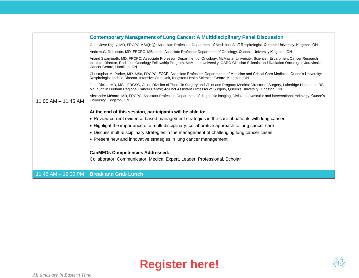|                         | <b>Contemporary Management of Lung Cancer: A Multidisciplinary Panel Discussion</b>                                                                                                                                                                                                                                  |
|-------------------------|----------------------------------------------------------------------------------------------------------------------------------------------------------------------------------------------------------------------------------------------------------------------------------------------------------------------|
|                         | Geneviève Digby, MD, FRCPC MSc(HQ), Associate Professor, Department of Medicine; Staff Respirologist, Queen's University, Kingston, ON                                                                                                                                                                               |
|                         | Andrew G. Robinson, MD, FRCPC, MBiotech, Associate Professor Department of Oncology, Queen's University Kingston, ON                                                                                                                                                                                                 |
|                         | Anand Swaminath, MD, FRCPC, Associate Professor, Department of Oncology, McMaster University; Scientist, Escarpment Cancer Research<br>Institute; Director, Radiation Oncology Fellowship Program, McMaster University; OARO Clinician Scientist and Radiation Oncologist, Juravinski<br>Cancer Centre, Hamilton, ON |
|                         | Christopher M. Parker, MD, MSc, FRCPC, FCCP; Associate Professor, Departments of Medicine and Critical Care Medicine, Queen's University;<br>Respirologist and Co-Director, Intensive Care Unit, Kingston Health Sciences Centre, Kingston, ON                                                                       |
|                         | John Dickie, MD, MSc, FRCSC, Chief, Division of Thoracic Surgery and Chief and Program Medical Director of Surgery, Lakeridge Health and RS<br>McLaughlin Durham Regional Cancer Centre: Adjunct Assistant Professor of Surgery, Queen's University, Kingston, ON                                                    |
| $11:00$ AM $- 11:45$ AM | Alexandre Ménard, MD, FRCPC, Assistant Professor, Department of diagnostic imaging, Division of vascular and interventional radiology, Queen's<br>University, Kingston, ON                                                                                                                                           |
|                         | At the end of this session, participants will be able to:                                                                                                                                                                                                                                                            |
|                         | • Review current evidence-based management strategies in the care of patients with lung cancer                                                                                                                                                                                                                       |
|                         | • Highlight the importance of a multi-disciplinary, collaborative approach to lung cancer care                                                                                                                                                                                                                       |
|                         | • Discuss multi-disciplinary strategies in the management of challenging lung cancer cases                                                                                                                                                                                                                           |
|                         | • Present new and innovative strategies in lung cancer management                                                                                                                                                                                                                                                    |
|                         | <b>CanMEDs Competencies Addressed:</b>                                                                                                                                                                                                                                                                               |
|                         | Collaborator, Communicator, Medical Expert, Leader, Professional, Scholar                                                                                                                                                                                                                                            |
|                         |                                                                                                                                                                                                                                                                                                                      |
| 11:45 AM $-$ 12:00 PM   | <b>Break and Grab Lunch</b>                                                                                                                                                                                                                                                                                          |



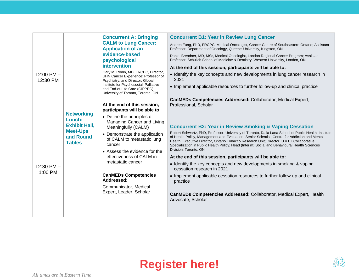|                            |                                                                                 | <b>Concurrent A: Bringing</b>                                                                                                                                                                                                              | <b>Concurrent B1: Year in Review Lung Cancer</b>                                                                                                                                                                                                                                                                                                                                                       |
|----------------------------|---------------------------------------------------------------------------------|--------------------------------------------------------------------------------------------------------------------------------------------------------------------------------------------------------------------------------------------|--------------------------------------------------------------------------------------------------------------------------------------------------------------------------------------------------------------------------------------------------------------------------------------------------------------------------------------------------------------------------------------------------------|
|                            |                                                                                 | <b>CALM to Lung Cancer:</b>                                                                                                                                                                                                                | Andrea Fung, PhD, FRCPC, Medical Oncologist, Cancer Centre of Southeastern Ontario; Assistant                                                                                                                                                                                                                                                                                                          |
|                            |                                                                                 | <b>Application of an</b><br>evidence-based                                                                                                                                                                                                 | Professor, Department of Oncology, Queen's University, Kingston, ON                                                                                                                                                                                                                                                                                                                                    |
|                            |                                                                                 | psychological                                                                                                                                                                                                                              | Daniel Breadner, MD, MSc, Medical Oncologist, London Regional Cancer Program; Assistant<br>Professor, Schulich School of Medicine & Dentistry, Western University, London, ON                                                                                                                                                                                                                          |
|                            |                                                                                 | <b>intervention</b>                                                                                                                                                                                                                        | At the end of this session, participants will be able to:                                                                                                                                                                                                                                                                                                                                              |
| $12:00$ PM $-$<br>12:30 PM |                                                                                 | Gary M. Rodin, MD, FRCPC, Director,<br>UHN Cancer Experience; Professor of<br>Psychiatry, and Director, Global                                                                                                                             | • Identify the key concepts and new developments in lung cancer research in<br>2021                                                                                                                                                                                                                                                                                                                    |
|                            |                                                                                 | Institute for Psychosocial, Palliative                                                                                                                                                                                                     | • Implement applicable resources to further follow-up and clinical practice                                                                                                                                                                                                                                                                                                                            |
|                            |                                                                                 | and End-of-Life Care (GIPPEC),<br>University of Toronto, Toronto, ON                                                                                                                                                                       |                                                                                                                                                                                                                                                                                                                                                                                                        |
|                            |                                                                                 |                                                                                                                                                                                                                                            | CanMEDs Competencies Addressed: Collaborator, Medical Expert,                                                                                                                                                                                                                                                                                                                                          |
|                            |                                                                                 | At the end of this session,                                                                                                                                                                                                                | Professional, Scholar                                                                                                                                                                                                                                                                                                                                                                                  |
|                            | <b>Networking</b>                                                               | participants will be able to:                                                                                                                                                                                                              |                                                                                                                                                                                                                                                                                                                                                                                                        |
|                            | Lunch:<br><b>Exhibit Hall,</b><br><b>Meet-Ups</b><br>and Round<br><b>Tables</b> | • Define the principles of<br>Managing Cancer and Living<br>Meaningfully (CALM)<br>• Demonstrate the application<br>of CALM to metastatic lung<br>cancer<br>• Assess the evidence for the<br>effectiveness of CALM in<br>metastatic cancer |                                                                                                                                                                                                                                                                                                                                                                                                        |
|                            |                                                                                 |                                                                                                                                                                                                                                            | <b>Concurrent B2: Year in Review Smoking &amp; Vaping Cessation</b>                                                                                                                                                                                                                                                                                                                                    |
|                            |                                                                                 |                                                                                                                                                                                                                                            | Robert Schwartz, PhD, Professor, University of Toronto, Dalla Lana School of Public Health, Institute<br>of Health Policy, Management and Evaluation; Senior Scientist, Centre for Addiction and Mental<br>Health; Executive Director, Ontario Tobacco Research Unit; Director, U o f T Collaborative<br>Specialization in Public Health Policy; Head (Interim) Social and Behavioural Health Sciences |
|                            |                                                                                 |                                                                                                                                                                                                                                            | Division, Toronto, ON                                                                                                                                                                                                                                                                                                                                                                                  |
|                            |                                                                                 |                                                                                                                                                                                                                                            | At the end of this session, participants will be able to:                                                                                                                                                                                                                                                                                                                                              |
| $12:30$ PM $-$             |                                                                                 |                                                                                                                                                                                                                                            | • Identify the key concepts and new developments in smoking & vaping<br>cessation research in 2021                                                                                                                                                                                                                                                                                                     |
| 1:00 PM                    |                                                                                 | <b>CanMEDs Competencies</b><br>Addressed:                                                                                                                                                                                                  | • Implement applicable cessation resources to further follow-up and clinical<br>practice                                                                                                                                                                                                                                                                                                               |
|                            |                                                                                 | Communicator, Medical<br>Expert, Leader, Scholar                                                                                                                                                                                           | <b>CanMEDs Competencies Addressed: Collaborator, Medical Expert, Health</b><br>Advocate, Scholar                                                                                                                                                                                                                                                                                                       |
|                            |                                                                                 |                                                                                                                                                                                                                                            |                                                                                                                                                                                                                                                                                                                                                                                                        |



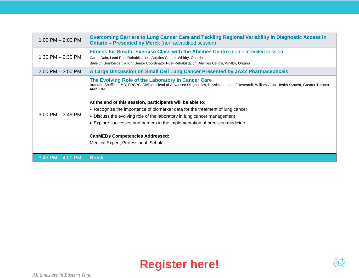| 1:00 PM $-$ 2:00 PM   | Overcoming Barriers to Lung Cancer Care and Tackling Regional Variability in Diagnostic Access in<br><b>Ontario – Presented by Merck</b> (non-accredited session)                                                                                                                                                                                                                                                                                                                                                                                                                                           |
|-----------------------|-------------------------------------------------------------------------------------------------------------------------------------------------------------------------------------------------------------------------------------------------------------------------------------------------------------------------------------------------------------------------------------------------------------------------------------------------------------------------------------------------------------------------------------------------------------------------------------------------------------|
| $1:30$ PM $- 2:30$ PM | Fitness for Breath: Exercise Class with the Abilities Centre (non-accredited session)<br>Carrie Dain, Lead Post Rehabilitation, Abilities Centre, Whitby, Ontario<br>Baileigh Sornberger, R.Kin, Senior Coordinator Post-Rehabilitation, Abilities Centre, Whitby, Ontario                                                                                                                                                                                                                                                                                                                                  |
| $2:00$ PM $-3:00$ PM  | A Large Discussion on Small Cell Lung Cancer Presented by JAZZ Pharmaceuticals                                                                                                                                                                                                                                                                                                                                                                                                                                                                                                                              |
| $3:00$ PM $-$ 3:45 PM | The Evolving Role of the Laboratory in Cancer Care<br>Brandon Sheffield, MD, FRCPC, Division Head of Advanced Diagnostics, Physician Lead of Research, William Osler Health System, Greater Toronto<br>Area, ON<br>At the end of this session, participants will be able to:<br>• Recognize the importance of biomarker data for the treatment of lung cancer<br>• Discuss the evolving role of the laboratory in lung cancer management<br>• Explore successes and barriers in the implementation of precision medicine<br><b>CanMEDs Competencies Addressed:</b><br>Medical Expert, Professional, Scholar |
| $3:45$ PM $-$ 4:00 PM | <b>Break</b>                                                                                                                                                                                                                                                                                                                                                                                                                                                                                                                                                                                                |



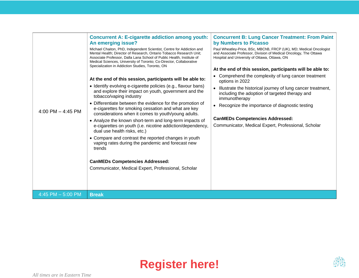| 4:00 PM $-$ 4:45 PM | <b>Concurrent A: E-cigarette addiction among youth:</b><br>An emerging issue?<br>Michael Chaiton, PhD, Independent Scientist, Centre for Addiction and<br>Mental Health; Director of Research, Ontario Tobacco Research Unit;<br>Associate Professor, Dalla Lana School of Public Health, Institute of<br>Medical Sciences, University of Toronto; Co-Director, Collaborative<br>Specialization in Addiction Studies, Toronto, ON<br>At the end of this session, participants will be able to:<br>• Identify evolving e-cigarette policies (e.g., flavour bans)<br>and explore their impact on youth, government and the<br>tobacco/vaping industry<br>• Differentiate between the evidence for the promotion of<br>e-cigarettes for smoking cessation and what are key<br>considerations when it comes to youth/young adults.<br>• Analyze the known short-term and long-term impacts of<br>e-cigarettes on youth (i.e. nicotine addiction/dependency,<br>dual use health risks, etc.)<br>• Compare and contrast the reported changes in youth<br>vaping rates during the pandemic and forecast new<br>trends<br><b>CanMEDs Competencies Addressed:</b><br>Communicator, Medical Expert, Professional, Scholar | <b>Concurrent B: Lung Cancer Treatment: From Paint</b><br>by Numbers to Picasso<br>Paul Wheatley-Price, BSc, MBChB, FRCP (UK), MD; Medical Oncologist<br>and Associate Professor, Division of Medical Oncology, The Ottawa<br>Hospital and University of Ottawa, Ottawa, ON<br>At the end of this session, participants will be able to:<br>• Comprehend the complexity of lung cancer treatment<br>options in 2022<br>Illustrate the historical journey of lung cancer treatment,<br>$\bullet$<br>including the adoption of targeted therapy and<br>immunotherapy<br>• Recognize the importance of diagnostic testing<br><b>CanMEDs Competencies Addressed:</b><br>Communicator, Medical Expert, Professional, Scholar |
|---------------------|-----------------------------------------------------------------------------------------------------------------------------------------------------------------------------------------------------------------------------------------------------------------------------------------------------------------------------------------------------------------------------------------------------------------------------------------------------------------------------------------------------------------------------------------------------------------------------------------------------------------------------------------------------------------------------------------------------------------------------------------------------------------------------------------------------------------------------------------------------------------------------------------------------------------------------------------------------------------------------------------------------------------------------------------------------------------------------------------------------------------------------------------------------------------------------------------------------------------|-------------------------------------------------------------------------------------------------------------------------------------------------------------------------------------------------------------------------------------------------------------------------------------------------------------------------------------------------------------------------------------------------------------------------------------------------------------------------------------------------------------------------------------------------------------------------------------------------------------------------------------------------------------------------------------------------------------------------|
| 4:45 PM $-$ 5:00 PM | <b>Break</b>                                                                                                                                                                                                                                                                                                                                                                                                                                                                                                                                                                                                                                                                                                                                                                                                                                                                                                                                                                                                                                                                                                                                                                                                    |                                                                                                                                                                                                                                                                                                                                                                                                                                                                                                                                                                                                                                                                                                                         |



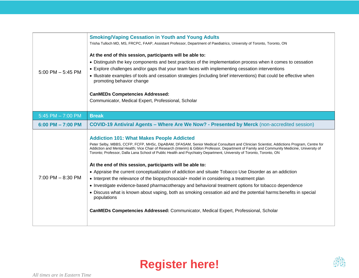| $5:00$ PM $-5:45$ PM  | <b>Smoking/Vaping Cessation in Youth and Young Adults</b><br>Trisha Tulloch MD, MS, FRCPC, FAAP, Assistant Professor, Department of Paediatrics, University of Toronto, Toronto, ON<br>At the end of this session, participants will be able to:<br>• Distinguish the key components and best practices of the implementation process when it comes to cessation<br>• Explore challenges and/or gaps that your team faces with implementing cessation interventions<br>• Illustrate examples of tools and cessation strategies (including brief interventions) that could be effective when<br>promoting behavior change<br><b>CanMEDs Competencies Addressed:</b><br>Communicator, Medical Expert, Professional, Scholar                                                                                                                                                                                                                                                                                                                                               |
|-----------------------|-------------------------------------------------------------------------------------------------------------------------------------------------------------------------------------------------------------------------------------------------------------------------------------------------------------------------------------------------------------------------------------------------------------------------------------------------------------------------------------------------------------------------------------------------------------------------------------------------------------------------------------------------------------------------------------------------------------------------------------------------------------------------------------------------------------------------------------------------------------------------------------------------------------------------------------------------------------------------------------------------------------------------------------------------------------------------|
| 5:45 PM $- 7:00$ PM   | <b>Break</b>                                                                                                                                                                                                                                                                                                                                                                                                                                                                                                                                                                                                                                                                                                                                                                                                                                                                                                                                                                                                                                                            |
| $6:00$ PM $- 7:00$ PM | <b>COVID-19 Antiviral Agents - Where Are We Now? - Presented by Merck (non-accredited session)</b>                                                                                                                                                                                                                                                                                                                                                                                                                                                                                                                                                                                                                                                                                                                                                                                                                                                                                                                                                                      |
| $7:00$ PM $- 8:30$ PM | <b>Addiction 101: What Makes People Addicted</b><br>Peter Selby, MBBS, CCFP, FCFP, MHSc, DipABAM, DFASAM, Senior Medical Consultant and Clinician Scientist, Addictions Program, Centre for<br>Addiction and Mental Health; Vice Chair of Research (Interim) & Giblon Professor, Department of Family and Community Medicine, University of<br>Toronto; Professor, Dalla Lana School of Public Health and Psychiatry Department, University of Toronto, Toronto, ON<br>At the end of this session, participants will be able to:<br>• Appraise the current conceptualization of addiction and situate Tobacco Use Disorder as an addiction<br>• Interpret the relevance of the biopsychosocial+ model in considering a treatment plan<br>• Investigate evidence-based pharmacotherapy and behavioral treatment options for tobacco dependence<br>• Discuss what is known about vaping, both as smoking cessation aid and the potential harms: benefits in special<br>populations<br>CanMEDs Competencies Addressed: Communicator, Medical Expert, Professional, Scholar |



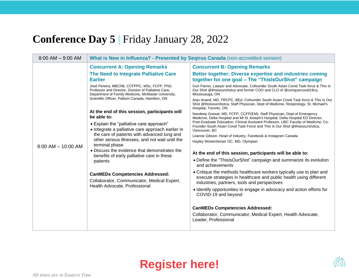#### **Conference Day 5** | Friday January 28, 2022

| $8:00$ AM $-$ 9:00 AM  | What is New in Influenza? - Presented by Seqirus Canada (non-accredited session)                                                                                                                                                                                                                                            |                                                                                                                                                                                                   |  |
|------------------------|-----------------------------------------------------------------------------------------------------------------------------------------------------------------------------------------------------------------------------------------------------------------------------------------------------------------------------|---------------------------------------------------------------------------------------------------------------------------------------------------------------------------------------------------|--|
|                        | <b>Concurrent A: Opening Remarks</b>                                                                                                                                                                                                                                                                                        | <b>Concurrent B: Opening Remarks</b>                                                                                                                                                              |  |
|                        | The Need to Integrate Palliative Care<br><b>Earlier</b>                                                                                                                                                                                                                                                                     | Better together: Diverse expertise and industries coming<br>together for one goal – The "ThislsOurShot" campaign                                                                                  |  |
|                        | José Pereira, MBChB, CCFPPC, MSc, FCFP, PhD;<br>Professor and Director, Division of Palliative Care,<br>Department of Family Medicine, McMaster University;                                                                                                                                                                 | Guri Pannu, Lawyer and Advocate, Cofounder South Asian Covid Task force & This Is<br>Our Shot @thisisourshotca and former COO and CLO of @conquercovid19ca,<br>Mississauga, ON                    |  |
|                        | Scientific Officer, Pallium Canada, Hamilton, ON                                                                                                                                                                                                                                                                            | Anju Anand, MD, FRCPC, BEd, Cofounder South Asian Covid Task force & This Is Our<br>Shot @thisisourshotca; Staff Physician, Dept of Medicine, Respirology, St. Michael's<br>Hospital, Toronto, ON |  |
|                        | At the end of this session, participants will<br>be able to:                                                                                                                                                                                                                                                                | Navdeep Grewal, MD, FCFP, CCFP(EM), Staff Physician, Dept of Emergency<br>Medicine, Delta Hospital and Mt St Joseph's Hospital; Delta Hospital ED Director,                                       |  |
|                        | • Explain the "palliative care approach"<br>• Integrate a palliative care approach earlier in<br>the care of patients with advanced lung and<br>other serious illnesses, and not wait until the<br>terminal phase<br>• Discuss the evidence that demonstrates the<br>benefits of early palliative care in these<br>patients | Post-Graduate Education; Clinical Assistant Professor, UBC Faculty of Medicine; Co-<br>Founder South Asian Covid Task Force and This Is Our Shot @thisisourshotca,<br>Vancouver, BC               |  |
|                        |                                                                                                                                                                                                                                                                                                                             | Leanne Gibson, Head of Industry, Facebook & Instagram Canada                                                                                                                                      |  |
| $9:00$ AM $-$ 10:00 AM |                                                                                                                                                                                                                                                                                                                             | Hayley Wickenheiser OC, MD, Olympian                                                                                                                                                              |  |
|                        |                                                                                                                                                                                                                                                                                                                             | At the end of this session, participants will be able to:                                                                                                                                         |  |
|                        |                                                                                                                                                                                                                                                                                                                             | • Define the "ThislsOurShot" campaign and summarize its evolution<br>and achievements                                                                                                             |  |
|                        | <b>CanMEDs Competencies Addressed:</b><br>Collaborator, Communicator, Medical Expert,<br>Health Advocate, Professional                                                                                                                                                                                                      | • Critique the methods healthcare workers typically use to plan and<br>execute strategies in healthcare and public health using different<br>industries, partners, tools and perspectives         |  |
|                        |                                                                                                                                                                                                                                                                                                                             | • Identify opportunities to engage in advocacy and action efforts for<br>COVID-19 and beyond                                                                                                      |  |
|                        |                                                                                                                                                                                                                                                                                                                             | <b>CanMEDs Competencies Addressed:</b>                                                                                                                                                            |  |
|                        |                                                                                                                                                                                                                                                                                                                             | Collaborator, Communicator, Medical Expert, Health Advocate,<br>Leader, Professional                                                                                                              |  |
|                        |                                                                                                                                                                                                                                                                                                                             |                                                                                                                                                                                                   |  |



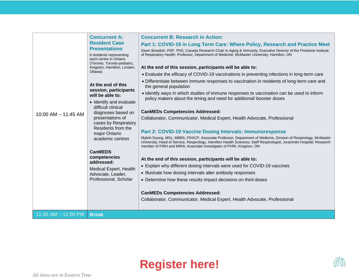|                         | <b>Concurrent A:</b><br><b>Resident Case</b><br><b>Presentations</b><br>6 residents representing<br>each centre in Ontario<br>(Toronto, Toronto-pediatric,<br>Kingston, Hamilton, London,<br>Ottawa)<br>At the end of this<br>session, participants<br>will be able to: | <b>Concurrent B: Research in Action:</b>                                                                                                                                                                                                                                                                                                                                                                                                                                                              |
|-------------------------|-------------------------------------------------------------------------------------------------------------------------------------------------------------------------------------------------------------------------------------------------------------------------|-------------------------------------------------------------------------------------------------------------------------------------------------------------------------------------------------------------------------------------------------------------------------------------------------------------------------------------------------------------------------------------------------------------------------------------------------------------------------------------------------------|
|                         |                                                                                                                                                                                                                                                                         | Part 1: COVID-19 in Long Term Care: Where Policy, Research and Practice Meet                                                                                                                                                                                                                                                                                                                                                                                                                          |
|                         |                                                                                                                                                                                                                                                                         | Dawn Bowdish, PDF, PhD, Canada Research Chair in Aging & Immunity; Executive Director of the Firestone Institute<br>of Respiratory Health; Professor, Department of Medicine, McMaster University, Hamilton, ON                                                                                                                                                                                                                                                                                       |
|                         |                                                                                                                                                                                                                                                                         | At the end of this session, participants will be able to:                                                                                                                                                                                                                                                                                                                                                                                                                                             |
|                         |                                                                                                                                                                                                                                                                         | • Evaluate the efficacy of COVID-19 vaccinations in preventing infections in long-term care                                                                                                                                                                                                                                                                                                                                                                                                           |
|                         |                                                                                                                                                                                                                                                                         | • Differentiate between immune responses to vaccination in residents of long-term care and<br>the general population                                                                                                                                                                                                                                                                                                                                                                                  |
|                         |                                                                                                                                                                                                                                                                         | • Identify ways in which studies of immune responses to vaccination can be used to inform<br>policy makers about the timing and need for additional/ booster doses                                                                                                                                                                                                                                                                                                                                    |
| $10:00$ AM $- 11:45$ AM | • Identify and evaluate<br>difficult clinical<br>diagnoses based on<br>presentations of<br>cases by Respiratory<br>Residents from the<br>major Ontario<br>academic centres                                                                                              | <b>CanMEDs Competencies Addressed:</b><br>Collaborator, Communicator, Medical Expert, Health Advocate, Professional<br>Part 2: COVID-19 Vaccine Dosing Intervals: Immunoresponse<br>Mylinh Duong, MSc, MBBS, FRACP, Associate Professor, Department of Medicine, Division of Respirology, McMaster<br>University; Head of Service, Respirology, Hamilton Health Sciences; Staff Respirologist, Juravinski Hospital; Research<br>member of FIRH and MIRA; Associate Investigator of PHRI, Kingston, ON |
|                         | <b>CanMEDS</b>                                                                                                                                                                                                                                                          |                                                                                                                                                                                                                                                                                                                                                                                                                                                                                                       |
|                         | competencies<br>addressed:<br>Medical Expert, Health<br>Advocate, Leader,<br>Professional, Scholar                                                                                                                                                                      | At the end of this session, participants will be able to:                                                                                                                                                                                                                                                                                                                                                                                                                                             |
|                         |                                                                                                                                                                                                                                                                         | • Explain why different dosing intervals were used for COVID-19 vaccines                                                                                                                                                                                                                                                                                                                                                                                                                              |
|                         |                                                                                                                                                                                                                                                                         | • Illustrate how dosing intervals alter antibody responses                                                                                                                                                                                                                                                                                                                                                                                                                                            |
|                         |                                                                                                                                                                                                                                                                         | • Determine how these results impact decisions on third doses                                                                                                                                                                                                                                                                                                                                                                                                                                         |
|                         |                                                                                                                                                                                                                                                                         |                                                                                                                                                                                                                                                                                                                                                                                                                                                                                                       |
|                         |                                                                                                                                                                                                                                                                         | <b>CanMEDs Competencies Addressed:</b>                                                                                                                                                                                                                                                                                                                                                                                                                                                                |
|                         |                                                                                                                                                                                                                                                                         | Collaborator, Communicator, Medical Expert, Health Advocate, Professional                                                                                                                                                                                                                                                                                                                                                                                                                             |
| 11:45 AM $-$ 12:00 PM   | <b>Break</b>                                                                                                                                                                                                                                                            |                                                                                                                                                                                                                                                                                                                                                                                                                                                                                                       |
|                         |                                                                                                                                                                                                                                                                         |                                                                                                                                                                                                                                                                                                                                                                                                                                                                                                       |



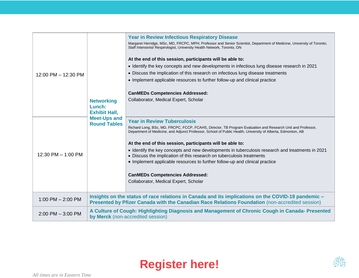|                      |                                                                                                                                      | <b>Year in Review Infectious Respiratory Disease</b>                                                                                                                                                                       |
|----------------------|--------------------------------------------------------------------------------------------------------------------------------------|----------------------------------------------------------------------------------------------------------------------------------------------------------------------------------------------------------------------------|
|                      |                                                                                                                                      | Margaret Herridge, MSc, MD, FRCPC, MPH; Professor and Senior Scientist, Department of Medicine, University of Toronto;<br>Staff Intensivist/ Respirologist, University Health Network, Toronto, ON                         |
|                      |                                                                                                                                      | At the end of this session, participants will be able to:                                                                                                                                                                  |
|                      |                                                                                                                                      | • Identify the key concepts and new developments in infectious lung disease research in 2021                                                                                                                               |
| 12:00 PM - 12:30 PM  | <b>Networking</b><br>Lunch:<br><b>Exhibit Hall,</b><br><b>Meet-Ups and</b><br><b>Round Tables</b>                                    | • Discuss the implication of this research on infectious lung disease treatments                                                                                                                                           |
|                      |                                                                                                                                      | • Implement applicable resources to further follow-up and clinical practice                                                                                                                                                |
|                      |                                                                                                                                      | <b>CanMEDs Competencies Addressed:</b>                                                                                                                                                                                     |
|                      |                                                                                                                                      | Collaborator, Medical Expert, Scholar                                                                                                                                                                                      |
|                      |                                                                                                                                      |                                                                                                                                                                                                                            |
|                      |                                                                                                                                      |                                                                                                                                                                                                                            |
| 12:30 PM $-$ 1:00 PM |                                                                                                                                      | <b>Year in Review Tuberculosis</b>                                                                                                                                                                                         |
|                      |                                                                                                                                      | Richard Long, BSc, MD, FRCPC, FCCP, FCAHS, Director, TB Program Evaluation and Research Unit and Professor,<br>Department of Medicine, and Adjunct Professor, School of Public Health, University of Alberta, Edmonton, AB |
|                      |                                                                                                                                      | At the end of this session, participants will be able to:                                                                                                                                                                  |
|                      |                                                                                                                                      | • Identify the key concepts and new developments in tuberculosis research and treatments in 2021<br>• Discuss the implication of this research on tuberculosis treatments                                                  |
|                      |                                                                                                                                      | • Implement applicable resources to further follow-up and clinical practice                                                                                                                                                |
|                      |                                                                                                                                      |                                                                                                                                                                                                                            |
|                      |                                                                                                                                      | <b>CanMEDs Competencies Addressed:</b>                                                                                                                                                                                     |
|                      |                                                                                                                                      | Collaborator, Medical Expert, Scholar                                                                                                                                                                                      |
| 1:00 PM $-$ 2:00 PM  |                                                                                                                                      | Insights on the status of race relations in Canada and its implications on the COVID-19 pandemic -                                                                                                                         |
|                      |                                                                                                                                      | Presented by Pfizer Canada with the Canadian Race Relations Foundation (non-accredited session)                                                                                                                            |
| $2:00$ PM $-3:00$ PM | A Culture of Cough: Highlighting Diagnosis and Management of Chronic Cough in Canada- Presented<br>by Merck (non-accredited session) |                                                                                                                                                                                                                            |
|                      |                                                                                                                                      |                                                                                                                                                                                                                            |

# **[Register here!](https://events.hubilo.com/better-breathing-conference-2022-1639009393/register)**

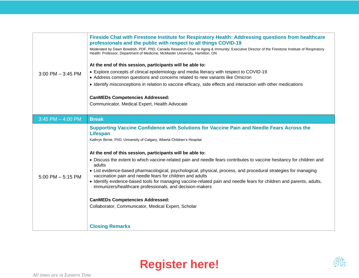| $3:00$ PM $-3:45$ PM  | Fireside Chat with Firestone Institute for Respiratory Health: Addressing questions from healthcare<br>professionals and the public with respect to all things COVID-19                                                      |
|-----------------------|------------------------------------------------------------------------------------------------------------------------------------------------------------------------------------------------------------------------------|
|                       | Moderated by Dawn Bowdish, PDF, PhD, Canada Research Chair in Aging & Immunity; Executive Director of the Firestone Institute of Respiratory<br>Health; Professor, Department of Medicine, McMaster University, Hamilton, ON |
|                       | At the end of this session, participants will be able to:                                                                                                                                                                    |
|                       | • Explore concepts of clinical epidemiology and media literacy with respect to COVID-19<br>• Address common questions and concerns related to new variants like Omicron                                                      |
|                       | • Identify misconceptions in relation to vaccine efficacy, side effects and interaction with other medications                                                                                                               |
|                       | <b>CanMEDs Competencies Addressed:</b>                                                                                                                                                                                       |
|                       | Communicator, Medical Expert, Health Advocate                                                                                                                                                                                |
| $3:45$ PM $-$ 4:00 PM | <b>Break</b>                                                                                                                                                                                                                 |
| $5:00$ PM $-5:15$ PM  | Supporting Vaccine Confidence with Solutions for Vaccine Pain and Needle Fears Across the<br><b>Lifespan</b><br>Kathryn Birnie, PhD, University of Calgary, Alberta Children's Hospital                                      |
|                       | At the end of this session, participants will be able to:                                                                                                                                                                    |
|                       | • Discuss the extent to which vaccine-related pain and needle fears contributes to vaccine hesitancy for children and<br>adults                                                                                              |
|                       | • List evidence-based pharmacological, psychological, physical, process, and procedural strategies for managing<br>vaccination pain and needle fears for children and adults                                                 |
|                       | · Identify evidence-based tools for managing vaccine-related pain and needle fears for children and parents, adults,<br>immunizers/healthcare professionals, and decision-makers                                             |
|                       | <b>CanMEDs Competencies Addressed:</b>                                                                                                                                                                                       |
|                       | Collaborator, Communicator, Medical Expert, Scholar                                                                                                                                                                          |
|                       |                                                                                                                                                                                                                              |
|                       | <b>Closing Remarks</b>                                                                                                                                                                                                       |